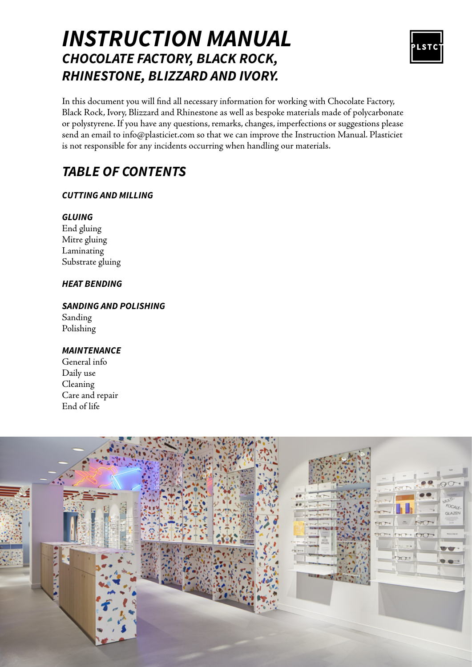### *INSTRUCTION MANUAL CHOCOLATE FACTORY, BLACK ROCK, RHINESTONE, BLIZZARD AND IVORY.*



In this document you will find all necessary information for working with Chocolate Factory, Black Rock, Ivory, Blizzard and Rhinestone as well as bespoke materials made of polycarbonate or polystyrene. If you have any questions, remarks, changes, imperfections or suggestions please send an email to info@plasticiet.com so that we can improve the Instruction Manual. Plasticiet is not responsible for any incidents occurring when handling our materials.

### *TABLE OF CONTENTS*

### *CUTTING AND MILLING*

### *GLUING*

End gluing Mitre gluing Laminating Substrate gluing

### *HEAT BENDING*

#### *SANDING AND POLISHING* Sanding Polishing

### *MAINTENANCE*

General info Daily use Cleaning Care and repair End of life

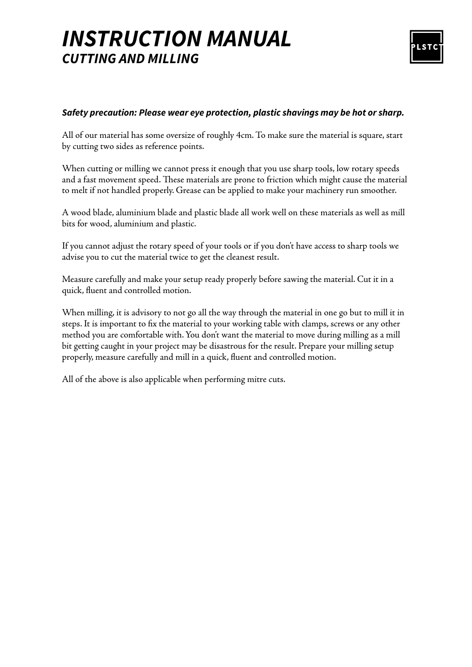### *INSTRUCTION MANUAL CUTTING AND MILLING*



### *Safety precaution: Please wear eye protection, plastic shavings may be hot or sharp.*

All of our material has some oversize of roughly 4cm. To make sure the material is square, start by cutting two sides as reference points.

When cutting or milling we cannot press it enough that you use sharp tools, low rotary speeds and a fast movement speed. These materials are prone to friction which might cause the material to melt if not handled properly. Grease can be applied to make your machinery run smoother.

A wood blade, aluminium blade and plastic blade all work well on these materials as well as mill bits for wood, aluminium and plastic.

If you cannot adjust the rotary speed of your tools or if you don't have access to sharp tools we advise you to cut the material twice to get the cleanest result.

Measure carefully and make your setup ready properly before sawing the material. Cut it in a quick, fluent and controlled motion.

When milling, it is advisory to not go all the way through the material in one go but to mill it in steps. It is important to fix the material to your working table with clamps, screws or any other method you are comfortable with. You don't want the material to move during milling as a mill bit getting caught in your project may be disastrous for the result. Prepare your milling setup properly, measure carefully and mill in a quick, fluent and controlled motion.

All of the above is also applicable when performing mitre cuts.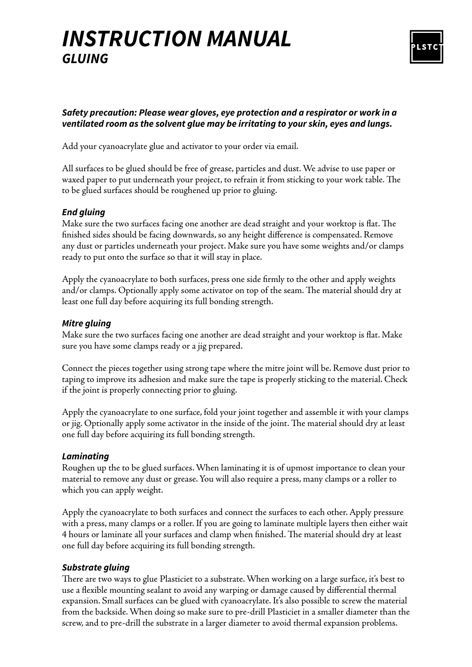## *INSTRUCTION MANUAL GLUING*



### *Safety precaution: Please wear gloves, eye protection and a respirator or work in a ventilated room as the solvent glue may be irritating to your skin, eyes and lungs.*

Add your cyanoacrylate glue and activator to your order via email.

All surfaces to be glued should be free of grease, particles and dust. We advise to use paper or waxed paper to put underneath your project, to refrain it from sticking to your work table. The to be glued surfaces should be roughened up prior to gluing.

### *End gluing*

Make sure the two surfaces facing one another are dead straight and your worktop is flat. The finished sides should be facing downwards, so any height difference is compensated. Remove any dust or particles underneath your project. Make sure you have some weights and/or clamps ready to put onto the surface so that it will stay in place.

Apply the cyanoacrylate to both surfaces, press one side firmly to the other and apply weights and/or clamps. Optionally apply some activator on top of the seam. The material should dry at least one full day before acquiring its full bonding strength.

### *Mitre gluing*

Make sure the two surfaces facing one another are dead straight and your worktop is flat. Make sure you have some clamps ready or a jig prepared.

Connect the pieces together using strong tape where the mitre joint will be. Remove dust prior to taping to improve its adhesion and make sure the tape is properly sticking to the material. Check if the joint is properly connecting prior to gluing.

Apply the cyanoacrylate to one surface, fold your joint together and assemble it with your clamps or jig. Optionally apply some activator in the inside of the joint. The material should dry at least one full day before acquiring its full bonding strength.

### *Laminating*

Roughen up the to be glued surfaces. When laminating it is of upmost importance to clean your material to remove any dust or grease. You will also require a press, many clamps or a roller to which you can apply weight.

Apply the cyanoacrylate to both surfaces and connect the surfaces to each other. Apply pressure with a press, many clamps or a roller. If you are going to laminate multiple layers then either wait 4 hours or laminate all your surfaces and clamp when finished. The material should dry at least one full day before acquiring its full bonding strength.

### *Substrate gluing*

There are two ways to glue Plasticiet to a substrate. When working on a large surface, it's best to use a flexible mounting sealant to avoid any warping or damage caused by differential thermal expansion. Small surfaces can be glued with cyanoacrylate. It's also possible to screw the material from the backside. When doing so make sure to pre-drill Plasticiet in a smaller diameter than the screw, and to pre-drill the substrate in a larger diameter to avoid thermal expansion problems.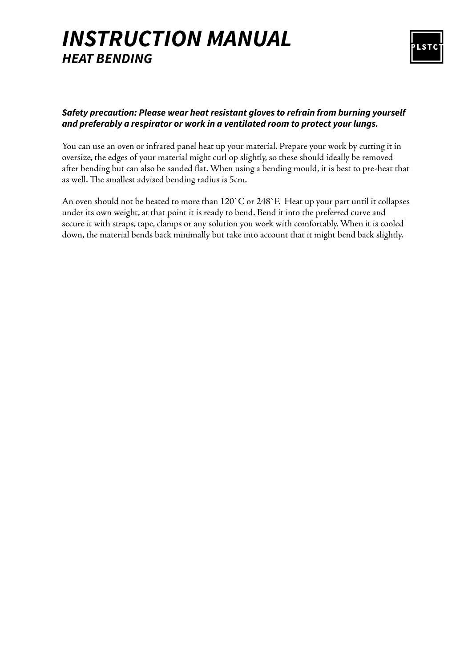# *INSTRUCTION MANUAL HEAT BENDING*



### *Safety precaution: Please wear heat resistant gloves to refrain from burning yourself and preferably a respirator or work in a ventilated room to protect your lungs.*

You can use an oven or infrared panel heat up your material. Prepare your work by cutting it in oversize, the edges of your material might curl op slightly, so these should ideally be removed after bending but can also be sanded flat. When using a bending mould, it is best to pre-heat that as well. The smallest advised bending radius is 5cm.

An oven should not be heated to more than 120`C or 248`F. Heat up your part until it collapses under its own weight, at that point it is ready to bend. Bend it into the preferred curve and secure it with straps, tape, clamps or any solution you work with comfortably. When it is cooled down, the material bends back minimally but take into account that it might bend back slightly.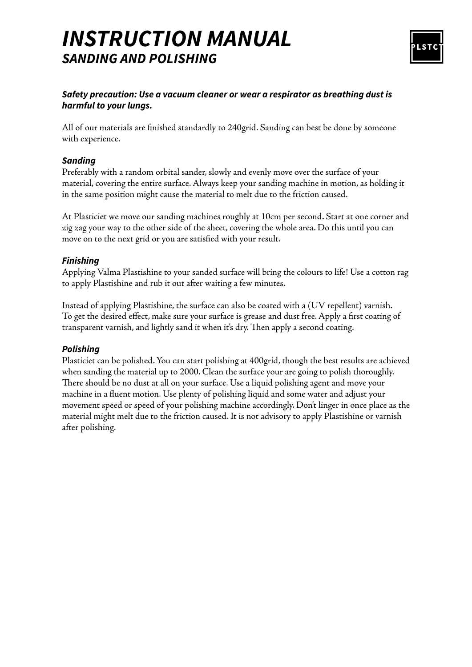### *INSTRUCTION MANUAL SANDING AND POLISHING*



### *Safety precaution: Use a vacuum cleaner or wear a respirator as breathing dust is harmful to your lungs.*

All of our materials are finished standardly to 240grid. Sanding can best be done by someone with experience.

### *Sanding*

Preferably with a random orbital sander, slowly and evenly move over the surface of your material, covering the entire surface. Always keep your sanding machine in motion, as holding it in the same position might cause the material to melt due to the friction caused.

At Plasticiet we move our sanding machines roughly at 10cm per second. Start at one corner and zig zag your way to the other side of the sheet, covering the whole area. Do this until you can move on to the next grid or you are satisfied with your result.

### *Finishing*

Applying Valma Plastishine to your sanded surface will bring the colours to life! Use a cotton rag to apply Plastishine and rub it out after waiting a few minutes.

Instead of applying Plastishine, the surface can also be coated with a (UV repellent) varnish. To get the desired effect, make sure your surface is grease and dust free. Apply a first coating of transparent varnish, and lightly sand it when it's dry. Then apply a second coating.

### *Polishing*

Plasticiet can be polished. You can start polishing at 400grid, though the best results are achieved when sanding the material up to 2000. Clean the surface your are going to polish thoroughly. There should be no dust at all on your surface. Use a liquid polishing agent and move your machine in a fluent motion. Use plenty of polishing liquid and some water and adjust your movement speed or speed of your polishing machine accordingly. Don't linger in once place as the material might melt due to the friction caused. It is not advisory to apply Plastishine or varnish after polishing.